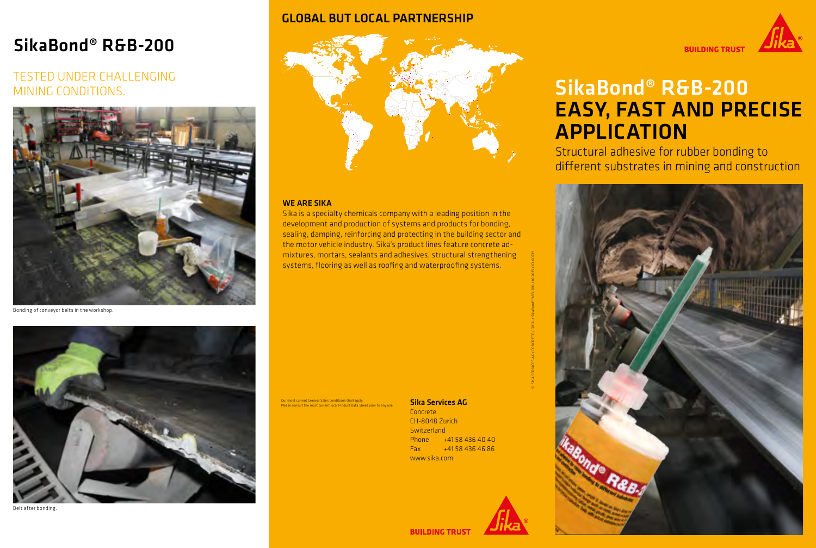## SikaBond® R&B-200

## TESTED UNDER CHALLENGING MINING CONDITIONS.



Bonding of conveyor belts in the workshop.



Belt after bonding.

### GLOBAL BUT LOCAL PARTNERSHIP



#### WE ARE SIKA

Sika is a specialty chemicals company with a leading position in the development and production of systems and products for bonding, sealing, damping, reinforcing and protecting in the building sector and the motor vehicle industry. Sika's product lines feature concrete admixtures, mortars, sealants and adhesives, structural strengthening systems, flooring as well as roofing and waterproofing systems.

Our most current General Sales Conditions shall apply. Please consult the most current local Product Data Sheet prior to any use.

#### Sika Services AG

Concrete CH-8048 Zurich **Switzerland** Phone +41 58 436 40 40  $Fax +41584364686$ www.sika.com



© SIKA SERVICES AG / CONCRETE / CMDL / SikaBond® R&B-200 / 10.2015 / ID: 60739



# SikaBond® R&B-200 EASY, FAST AND PRECISE APPLICATION

Structural adhesive for rubber bonding to different substrates in mining and construction



**BUILDING TRUST**